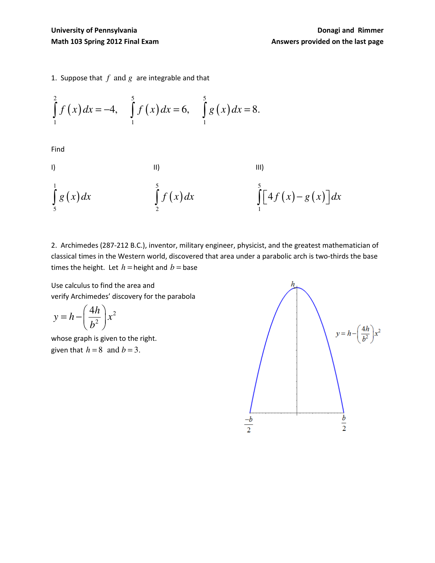1. Suppose that  $f$  and  $g$  are integrable and that

$$
\int_{1}^{2} f(x) dx = -4, \quad \int_{1}^{5} f(x) dx = 6, \quad \int_{1}^{5} g(x) dx = 8.
$$

Find

1)   
\n
$$
\int_{5}^{1} g(x) dx
$$
\n
$$
\int_{2}^{5} f(x) dx
$$
\n
$$
\int_{1}^{5} [4f(x) - g(x)] dx
$$

2. Archimedes (287-212 B.C.), inventor, military engineer, physicist, and the greatest mathematician of classical times in the Western world, discovered that area under a parabolic arch is two-thirds the base times the height. Let  $h$  = height and  $b$  = base

Use calculus to find the area and verify Archimedes' discovery for the parabola

$$
y = h - \left(\frac{4h}{b^2}\right) x^2
$$

whose graph is given to the right. given that  $h = 8$  and  $b = 3$ .

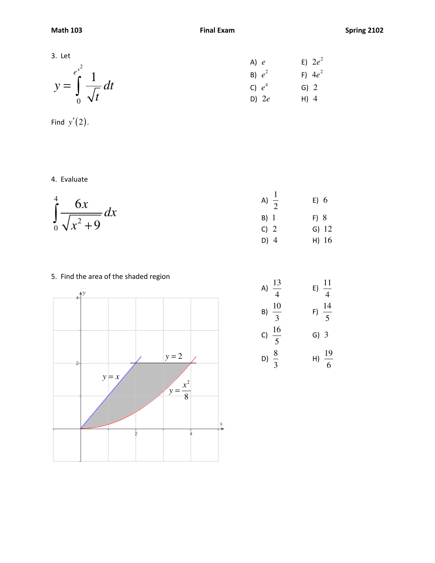3. Let  
\nA) e E) 
$$
2e^2
$$
  
\nB)  $e^2$  F)  $4e^2$   
\nC)  $e^4$  G) 2  
\nD) 2e H) 4

Find  $y'(2)$ .

4. Evaluate

$$
\int_{0}^{4} \frac{6x}{\sqrt{x^{2}+9}} dx
$$
\nA)  $\frac{1}{2}$ \nB) 1\nC) 2\nD) 4\nD) 4\nE) 6\nE) 6\nE) 7

## 5. Find the area of the shaded region



A) 
$$
\frac{13}{4}
$$
 E)  $\frac{11}{4}$   
\nB)  $\frac{10}{3}$  F)  $\frac{14}{5}$   
\nC)  $\frac{16}{5}$  G) 3  
\nD)  $\frac{8}{3}$  H)  $\frac{19}{6}$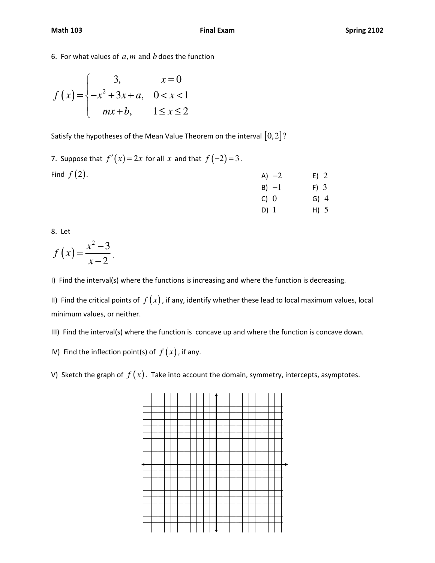6. For what values of  $a, m$  and  $b$  does the function

$$
f(x) = \begin{cases} 3, & x = 0 \\ -x^2 + 3x + a, & 0 < x < 1 \\ mx + b, & 1 \le x \le 2 \end{cases}
$$

Satisfy the hypotheses of the Mean Value Theorem on the interval  $[0,2]$ ?

7. Suppose that  $f'(x) = 2x$  for all *x* and that  $f(-2) = 3$ . Find  $f(2)$ . A)  $-2$  E) 2 B)  $-1$  F) 3 C) 0 G) 4 D) 1 H) 5

8. Let

$$
f(x) = \frac{x^2 - 3}{x - 2}.
$$

I) Find the interval(s) where the functions is increasing and where the function is decreasing.

II) Find the critical points of  $f(x)$ , if any, identify whether these lead to local maximum values, local minimum values, or neither.

III) Find the interval(s) where the function is concave up and where the function is concave down.

IV) Find the inflection point(s) of  $f(x)$ , if any.

V) Sketch the graph of  $f(x)$ . Take into account the domain, symmetry, intercepts, asymptotes.

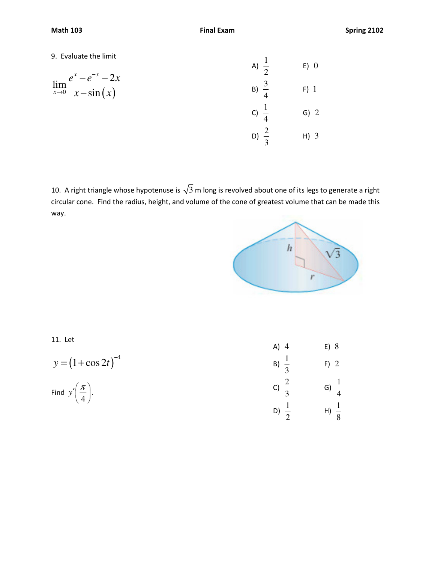## 9. Evaluate the limit

9. Evaluate the limit  
\n
$$
\lim_{x \to 0} \frac{e^x - e^{-x} - 2x}{x - \sin(x)}
$$
\n
$$
\lim_{x \to 0} \frac{e^x - e^{-x} - 2x}{x - \sin(x)}
$$
\n
$$
\lim_{x \to 0} \frac{3}{4}
$$
\n
$$
\lim_{x \to 0} \frac{3}{4}
$$
\n
$$
\lim_{x \to 0} \frac{1}{4}
$$
\n
$$
\lim_{x \to 0} \frac{1}{4}
$$
\n
$$
\lim_{x \to 0} \frac{1}{4}
$$
\n
$$
\lim_{x \to 0} \frac{1}{4}
$$
\n
$$
\lim_{x \to 0} \frac{1}{4}
$$
\n
$$
\lim_{x \to 0} \frac{1}{4}
$$
\n
$$
\lim_{x \to 0} \frac{1}{4}
$$
\n
$$
\lim_{x \to 0} \frac{1}{4}
$$
\n
$$
\lim_{x \to 0} \frac{1}{4}
$$
\n
$$
\lim_{x \to 0} \frac{1}{4}
$$
\n
$$
\lim_{x \to 0} \frac{1}{4}
$$
\n
$$
\lim_{x \to 0} \frac{1}{4}
$$
\n
$$
\lim_{x \to 0} \frac{1}{4}
$$
\n
$$
\lim_{x \to 0} \frac{1}{4}
$$
\n
$$
\lim_{x \to 0} \frac{1}{4}
$$
\n
$$
\lim_{x \to 0} \frac{1}{4}
$$
\n
$$
\lim_{x \to 0} \frac{1}{4}
$$
\n
$$
\lim_{x \to 0} \frac{1}{4}
$$
\n
$$
\lim_{x \to 0} \frac{1}{4}
$$
\n
$$
\lim_{x \to 0} \frac{1}{4}
$$
\n
$$
\lim_{x \to 0} \frac{1}{4}
$$
\n
$$
\lim_{x \to 0} \frac{1}{4}
$$
\n
$$
\lim_{x \to 0} \frac{1}{4}
$$
\n
$$
\lim_{x \to 0} \frac{1}{4}
$$
\n
$$
\lim_{x \to 0} \frac{1}{4}
$$
\n
$$
\lim_{x \to 0} \frac{1}{4}
$$
\n
$$
\lim
$$

10. A right triangle whose hypotenuse is  $\sqrt{3}$  m long is revolved about one of its legs to generate a right circular cone. Find the radius, height, and volume of the cone of greatest volume that can be made this way.



11. Let

$$
y = (1 + \cos 2t)^{-4}
$$

Find  $y'$   $\frac{\pi}{4}$  . 4 *y*  $\frac{\pi}{4}$ 

| $A)$ 4           | E) 8             |  |
|------------------|------------------|--|
| B) $\frac{1}{3}$ | $F)$ 2           |  |
| c) $\frac{2}{3}$ | G) $\frac{1}{4}$ |  |
| D) $\frac{1}{2}$ | $H) \frac{1}{8}$ |  |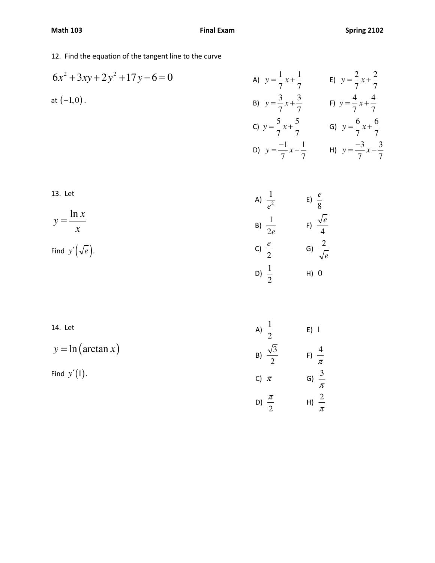12. Find the equation of the tangent line to the curve

6x<sup>2</sup> + 3xy + 2y<sup>2</sup> + 17y - 6 = 0  
\na) 
$$
y = \frac{1}{7}x + \frac{1}{7}
$$
  
\nb)  $y = \frac{2}{7}x + \frac{2}{7}$   
\nc)  $y = \frac{5}{7}x + \frac{5}{7}$   
\nd)  $y = \frac{6}{7}x + \frac{6}{7}$   
\ne)  $y = \frac{4}{7}x + \frac{4}{7}$   
\nf)  $y = \frac{4}{7}x + \frac{4}{7}$   
\ng)  $y = \frac{5}{7}x + \frac{5}{7}$   
\ng)  $y = \frac{6}{7}x + \frac{6}{7}$   
\nh)  $y = \frac{-3}{7}x - \frac{3}{7}$ 

13. Let

$$
y = \frac{\ln x}{x}
$$

Find  $y'(\sqrt{e})$ .

14. Let

$$
y = \ln(\arctan x)
$$

Find  $y'(1)$ .

A) 
$$
\frac{1}{e^2}
$$
  
\nB)  $\frac{1}{2e}$   
\nC)  $\frac{e}{2}$   
\nD)  $\frac{1}{2}$   
\nE)  $\frac{\sqrt{e}}{4}$   
\nE)  $\frac{2}{\sqrt{e}}$   
\nE)  $\frac{1}{2}$   
\nE)  $\frac{1}{2}$   
\nE)  $\frac{1}{2}$   
\nE)  $\frac{1}{\pi}$   
\nE)  $\frac{4}{\pi}$   
\nC)  $\pi$   
\nG)  $\frac{3}{\pi}$ 

 $\frac{\pi}{2}$  H)  $\frac{2}{\pi}$ 

D) 2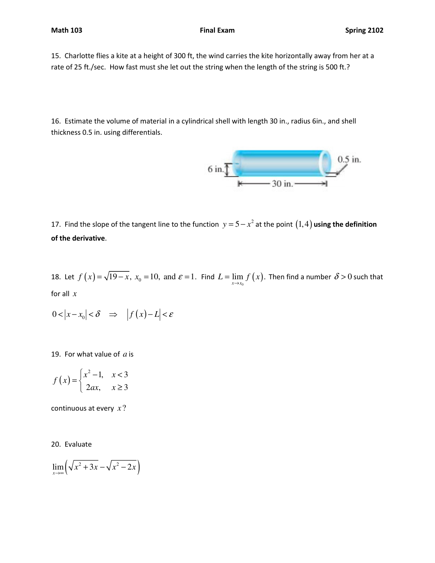15. Charlotte flies a kite at a height of 300 ft, the wind carries the kite horizontally away from her at a rate of 25 ft./sec. How fast must she let out the string when the length of the string is 500 ft.?

16. Estimate the volume of material in a cylindrical shell with length 30 in., radius 6in., and shell thickness 0.5 in. using differentials.



17. Find the slope of the tangent line to the function  $y = 5 - x^2$  at the point  $(1,4)$  using the definition of the derivative.

18. Let  $f(x) = \sqrt{19-x}$ ,  $x_0 = 10$ , and  $\varepsilon = 1$ . Find  $L = \lim_{x \to x_0} f(x)$ . Then find a number  $\delta > 0$  such that for all *x*

$$
0<|x-x_0|<\delta \quad \Rightarrow \quad \left|f(x)-L\right|<\varepsilon
$$

19. For what value of *a* is

$$
f(x) = \begin{cases} x^2 - 1, & x < 3 \\ 2ax, & x \ge 3 \end{cases}
$$

continuous at every *x* ?

20. Evaluate

$$
\lim_{x \to \infty} \left( \sqrt{x^2 + 3x} - \sqrt{x^2 - 2x} \right)
$$